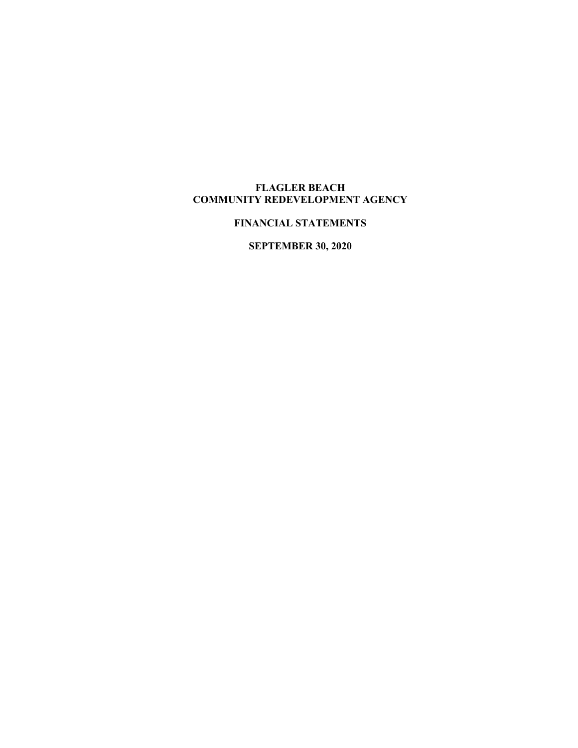# **FLAGLER BEACH COMMUNITY REDEVELOPMENT AGENCY**

## **FINANCIAL STATEMENTS**

# **SEPTEMBER 30, 2020**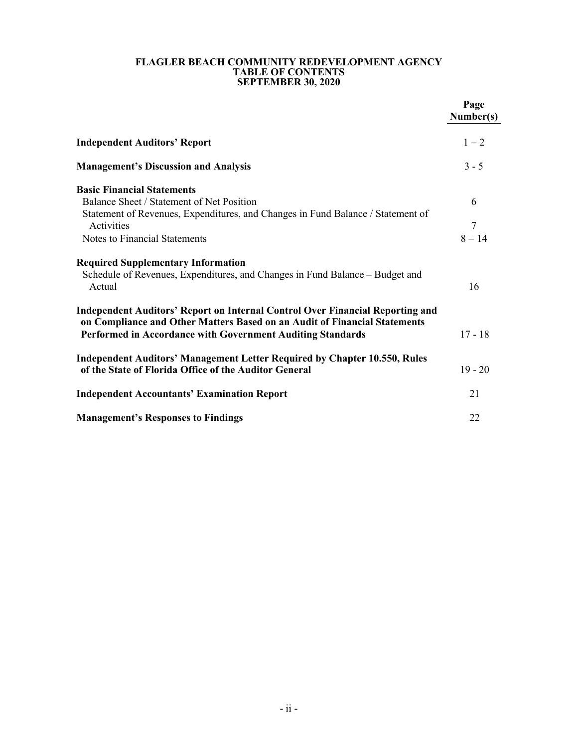#### **FLAGLER BEACH COMMUNITY REDEVELOPMENT AGENCY TABLE OF CONTENTS SEPTEMBER 30, 2020**

|                                                                                                                                                                                                                          | Page<br>Number(s) |
|--------------------------------------------------------------------------------------------------------------------------------------------------------------------------------------------------------------------------|-------------------|
| <b>Independent Auditors' Report</b>                                                                                                                                                                                      | $1 - 2$           |
| <b>Management's Discussion and Analysis</b>                                                                                                                                                                              | $3 - 5$           |
| <b>Basic Financial Statements</b>                                                                                                                                                                                        |                   |
| Balance Sheet / Statement of Net Position                                                                                                                                                                                | 6                 |
| Statement of Revenues, Expenditures, and Changes in Fund Balance / Statement of                                                                                                                                          |                   |
| Activities                                                                                                                                                                                                               | 7                 |
| Notes to Financial Statements                                                                                                                                                                                            | $8 - 14$          |
| <b>Required Supplementary Information</b>                                                                                                                                                                                |                   |
| Schedule of Revenues, Expenditures, and Changes in Fund Balance – Budget and<br>Actual                                                                                                                                   | 16                |
| Independent Auditors' Report on Internal Control Over Financial Reporting and<br>on Compliance and Other Matters Based on an Audit of Financial Statements<br>Performed in Accordance with Government Auditing Standards | $17 - 18$         |
|                                                                                                                                                                                                                          |                   |
| Independent Auditors' Management Letter Required by Chapter 10.550, Rules<br>of the State of Florida Office of the Auditor General                                                                                       | $19 - 20$         |
| <b>Independent Accountants' Examination Report</b>                                                                                                                                                                       | 21                |
| <b>Management's Responses to Findings</b>                                                                                                                                                                                | 22                |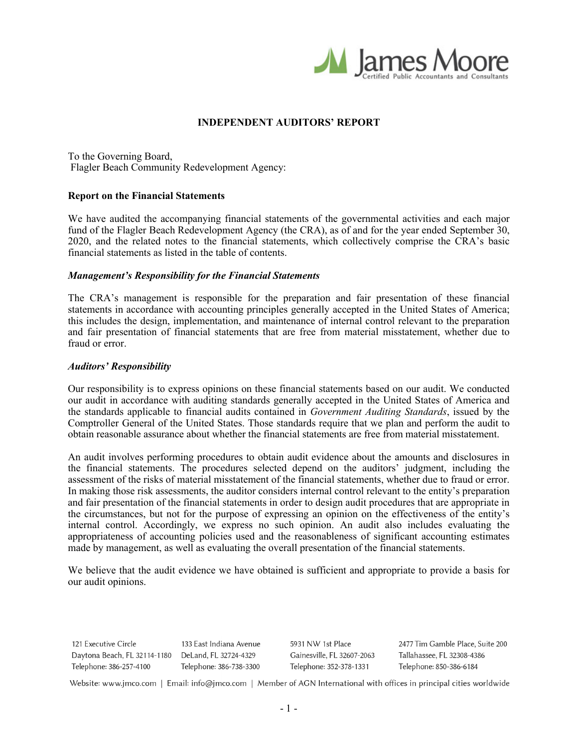

## **INDEPENDENT AUDITORS' REPORT**

To the Governing Board, Flagler Beach Community Redevelopment Agency:

### **Report on the Financial Statements**

We have audited the accompanying financial statements of the governmental activities and each major fund of the Flagler Beach Redevelopment Agency (the CRA), as of and for the year ended September 30, 2020, and the related notes to the financial statements, which collectively comprise the CRA's basic financial statements as listed in the table of contents.

### *Management's Responsibility for the Financial Statements*

The CRA's management is responsible for the preparation and fair presentation of these financial statements in accordance with accounting principles generally accepted in the United States of America; this includes the design, implementation, and maintenance of internal control relevant to the preparation and fair presentation of financial statements that are free from material misstatement, whether due to fraud or error.

### *Auditors' Responsibility*

Our responsibility is to express opinions on these financial statements based on our audit. We conducted our audit in accordance with auditing standards generally accepted in the United States of America and the standards applicable to financial audits contained in *Government Auditing Standards*, issued by the Comptroller General of the United States. Those standards require that we plan and perform the audit to obtain reasonable assurance about whether the financial statements are free from material misstatement.

An audit involves performing procedures to obtain audit evidence about the amounts and disclosures in the financial statements. The procedures selected depend on the auditors' judgment, including the assessment of the risks of material misstatement of the financial statements, whether due to fraud or error. In making those risk assessments, the auditor considers internal control relevant to the entity's preparation and fair presentation of the financial statements in order to design audit procedures that are appropriate in the circumstances, but not for the purpose of expressing an opinion on the effectiveness of the entity's internal control. Accordingly, we express no such opinion. An audit also includes evaluating the appropriateness of accounting policies used and the reasonableness of significant accounting estimates made by management, as well as evaluating the overall presentation of the financial statements.

We believe that the audit evidence we have obtained is sufficient and appropriate to provide a basis for our audit opinions.

121 Executive Circle 133 East Indiana Avenue Daytona Beach, FL 32114-1180 DeLand, FL 32724-4329 Telephone: 386-257-4100 Telephone: 386-738-3300

5931 NW 1st Place Gainesville, FL 32607-2063 Telephone: 352-378-1331

2477 Tim Gamble Place, Suite 200 Tallahassee, FL 32308-4386 Telephone: 850-386-6184

Website: www.jmco.com | Email: info@jmco.com | Member of AGN International with offices in principal cities worldwide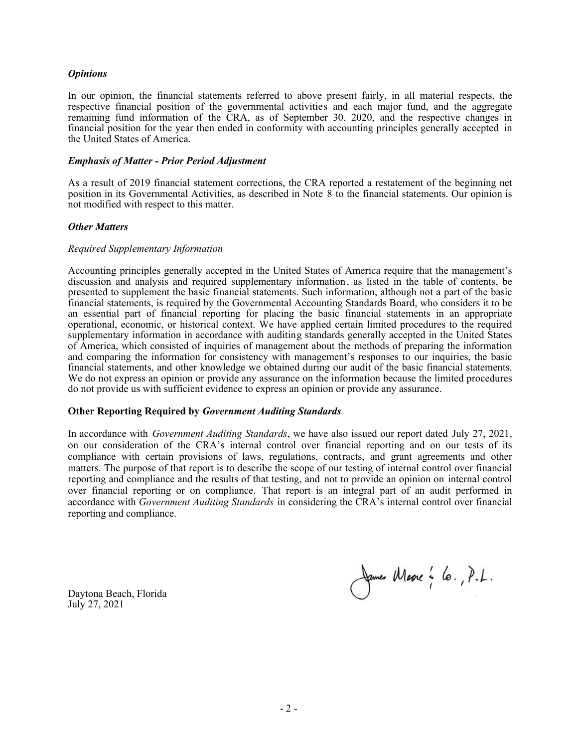#### *Opinions*

In our opinion, the financial statements referred to above present fairly, in all material respects, the respective financial position of the governmental activities and each major fund, and the aggregate remaining fund information of the CRA, as of September 30, 2020, and the respective changes in financial position for the year then ended in conformity with accounting principles generally accepted in the United States of America.

#### *Emphasis of Matter - Prior Period Adjustment*

As a result of 2019 financial statement corrections, the CRA reported a restatement of the beginning net position in its Governmental Activities, as described in Note 8 to the financial statements. Our opinion is not modified with respect to this matter.

#### *Other Matters*

#### *Required Supplementary Information*

Accounting principles generally accepted in the United States of America require that the management's discussion and analysis and required supplementary information, as listed in the table of contents, be presented to supplement the basic financial statements. Such information, although not a part of the basic financial statements, is required by the Governmental Accounting Standards Board, who considers it to be an essential part of financial reporting for placing the basic financial statements in an appropriate operational, economic, or historical context. We have applied certain limited procedures to the required supplementary information in accordance with auditing standards generally accepted in the United States of America, which consisted of inquiries of management about the methods of preparing the information and comparing the information for consistency with management's responses to our inquiries, the basic financial statements, and other knowledge we obtained during our audit of the basic financial statements. We do not express an opinion or provide any assurance on the information because the limited procedures do not provide us with sufficient evidence to express an opinion or provide any assurance.

#### **Other Reporting Required by** *Government Auditing Standards*

In accordance with *Government Auditing Standards*, we have also issued our report dated July 27, 2021, on our consideration of the CRA's internal control over financial reporting and on our tests of its compliance with certain provisions of laws, regulations, contracts, and grant agreements and other matters. The purpose of that report is to describe the scope of our testing of internal control over financial reporting and compliance and the results of that testing, and not to provide an opinion on internal control over financial reporting or on compliance. That report is an integral part of an audit performed in accordance with *Government Auditing Standards* in considering the CRA's internal control over financial reporting and compliance.

Daytona Beach, Florida July 27, 2021

James Masse : lo., P.L.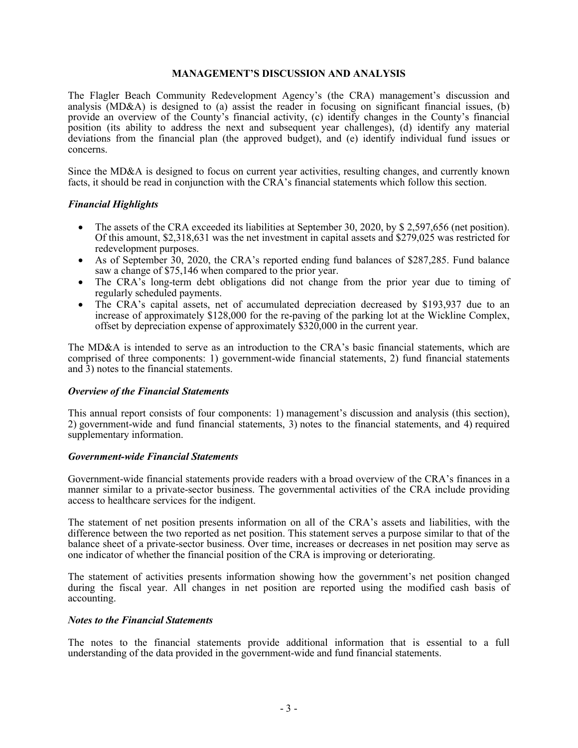## **MANAGEMENT'S DISCUSSION AND ANALYSIS**

The Flagler Beach Community Redevelopment Agency's (the CRA) management's discussion and analysis (MD&A) is designed to (a) assist the reader in focusing on significant financial issues, (b) provide an overview of the County's financial activity, (c) identify changes in the County's financial position (its ability to address the next and subsequent year challenges), (d) identify any material deviations from the financial plan (the approved budget), and (e) identify individual fund issues or concerns.

Since the MD&A is designed to focus on current year activities, resulting changes, and currently known facts, it should be read in conjunction with the CRA's financial statements which follow this section.

### *Financial Highlights*

- The assets of the CRA exceeded its liabilities at September 30, 2020, by \$ 2,597,656 (net position). Of this amount, \$2,318,631 was the net investment in capital assets and \$279,025 was restricted for redevelopment purposes.
- As of September 30, 2020, the CRA's reported ending fund balances of \$287,285. Fund balance saw a change of \$75,146 when compared to the prior year.
- The CRA's long-term debt obligations did not change from the prior year due to timing of regularly scheduled payments.
- The CRA's capital assets, net of accumulated depreciation decreased by \$193,937 due to an increase of approximately \$128,000 for the re-paving of the parking lot at the Wickline Complex, offset by depreciation expense of approximately \$320,000 in the current year.

The MD&A is intended to serve as an introduction to the CRA's basic financial statements, which are comprised of three components: 1) government-wide financial statements, 2) fund financial statements and 3) notes to the financial statements.

### *Overview of the Financial Statements*

This annual report consists of four components: 1) management's discussion and analysis (this section), 2) government-wide and fund financial statements, 3) notes to the financial statements, and 4) required supplementary information.

### *Government-wide Financial Statements*

Government-wide financial statements provide readers with a broad overview of the CRA's finances in a manner similar to a private-sector business. The governmental activities of the CRA include providing access to healthcare services for the indigent.

The statement of net position presents information on all of the CRA's assets and liabilities, with the difference between the two reported as net position. This statement serves a purpose similar to that of the balance sheet of a private-sector business. Over time, increases or decreases in net position may serve as one indicator of whether the financial position of the CRA is improving or deteriorating.

The statement of activities presents information showing how the government's net position changed during the fiscal year. All changes in net position are reported using the modified cash basis of accounting.

### *Notes to the Financial Statements*

The notes to the financial statements provide additional information that is essential to a full understanding of the data provided in the government-wide and fund financial statements.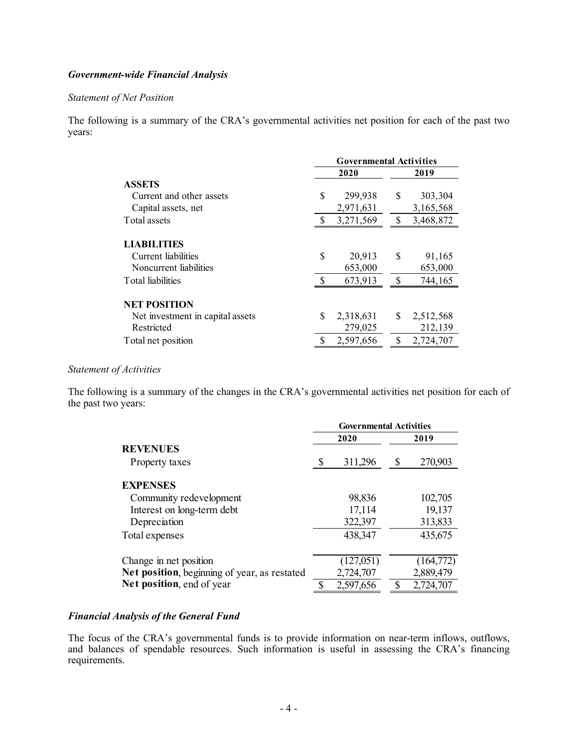### *Government-wide Financial Analysis*

### *Statement of Net Position*

The following is a summary of the CRA's governmental activities net position for each of the past two years:

|                                  | <b>Governmental Activities</b> |           |      |           |  |  |
|----------------------------------|--------------------------------|-----------|------|-----------|--|--|
|                                  |                                | 2020      | 2019 |           |  |  |
| <b>ASSETS</b>                    |                                |           |      |           |  |  |
| Current and other assets         | \$                             | 299,938   | \$   | 303,304   |  |  |
| Capital assets, net              |                                | 2,971,631 |      | 3,165,568 |  |  |
| Total assets                     | \$.                            | 3,271,569 |      | 3,468,872 |  |  |
| <b>LIABILITIES</b>               |                                |           |      |           |  |  |
| Current liabilities              | \$                             | 20,913    | \$   | 91,165    |  |  |
| Noncurrent liabilities           |                                | 653,000   |      | 653,000   |  |  |
| <b>Total liabilities</b>         | $\mathcal{S}$                  | 673,913   | \$   | 744,165   |  |  |
| <b>NET POSITION</b>              |                                |           |      |           |  |  |
| Net investment in capital assets | \$                             | 2,318,631 | \$   | 2,512,568 |  |  |
| Restricted                       |                                | 279,025   |      | 212,139   |  |  |
| Total net position               |                                | 2,597,656 |      | 2,724,707 |  |  |

### *Statement of Activities*

The following is a summary of the changes in the CRA's governmental activities net position for each of the past two years:

|                                              | <b>Governmental Activities</b> |           |      |            |  |  |
|----------------------------------------------|--------------------------------|-----------|------|------------|--|--|
|                                              |                                | 2020      | 2019 |            |  |  |
| <b>REVENUES</b>                              |                                |           |      |            |  |  |
| Property taxes                               | \$                             | 311,296   | S    | 270,903    |  |  |
| <b>EXPENSES</b>                              |                                |           |      |            |  |  |
| Community redevelopment                      |                                | 98,836    |      | 102,705    |  |  |
| Interest on long-term debt                   |                                | 17,114    |      | 19,137     |  |  |
| Depreciation                                 |                                | 322,397   |      | 313,833    |  |  |
| Total expenses                               |                                | 438,347   |      | 435,675    |  |  |
| Change in net position                       |                                | (127,051) |      | (164, 772) |  |  |
| Net position, beginning of year, as restated |                                | 2,724,707 |      | 2,889,479  |  |  |
| Net position, end of year                    |                                | 2,597,656 |      | 2,724,707  |  |  |

### *Financial Analysis of the General Fund*

The focus of the CRA's governmental funds is to provide information on near-term inflows, outflows, and balances of spendable resources. Such information is useful in assessing the CRA's financing requirements.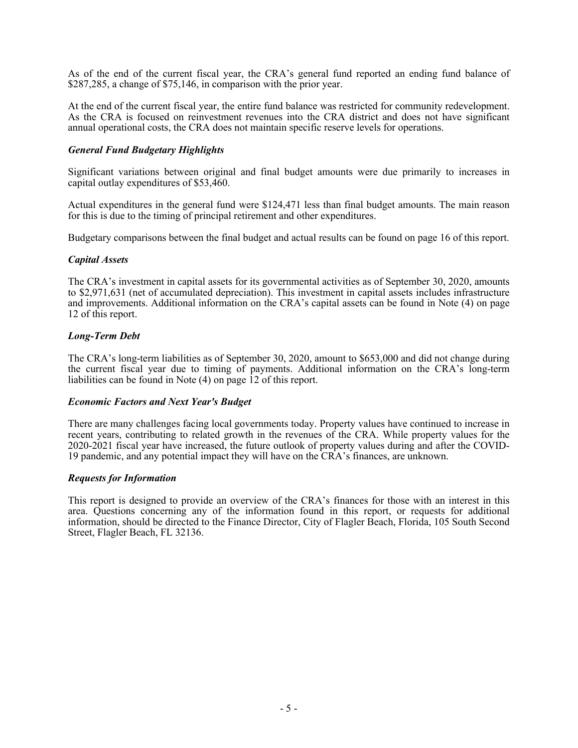As of the end of the current fiscal year, the CRA's general fund reported an ending fund balance of \$287,285, a change of \$75,146, in comparison with the prior year.

At the end of the current fiscal year, the entire fund balance was restricted for community redevelopment. As the CRA is focused on reinvestment revenues into the CRA district and does not have significant annual operational costs, the CRA does not maintain specific reserve levels for operations.

## *General Fund Budgetary Highlights*

Significant variations between original and final budget amounts were due primarily to increases in capital outlay expenditures of \$53,460.

Actual expenditures in the general fund were \$124,471 less than final budget amounts. The main reason for this is due to the timing of principal retirement and other expenditures.

Budgetary comparisons between the final budget and actual results can be found on page 16 of this report.

## *Capital Assets*

The CRA's investment in capital assets for its governmental activities as of September 30, 2020, amounts to \$2,971,631 (net of accumulated depreciation). This investment in capital assets includes infrastructure and improvements. Additional information on the CRA's capital assets can be found in Note (4) on page 12 of this report.

### *Long-Term Debt*

The CRA's long-term liabilities as of September 30, 2020, amount to \$653,000 and did not change during the current fiscal year due to timing of payments. Additional information on the CRA's long-term liabilities can be found in Note (4) on page 12 of this report.

### *Economic Factors and Next Year's Budget*

There are many challenges facing local governments today. Property values have continued to increase in recent years, contributing to related growth in the revenues of the CRA. While property values for the 2020-2021 fiscal year have increased, the future outlook of property values during and after the COVID-19 pandemic, and any potential impact they will have on the CRA's finances, are unknown.

### *Requests for Information*

This report is designed to provide an overview of the CRA's finances for those with an interest in this area. Questions concerning any of the information found in this report, or requests for additional information, should be directed to the Finance Director, City of Flagler Beach, Florida, 105 South Second Street, Flagler Beach, FL 32136.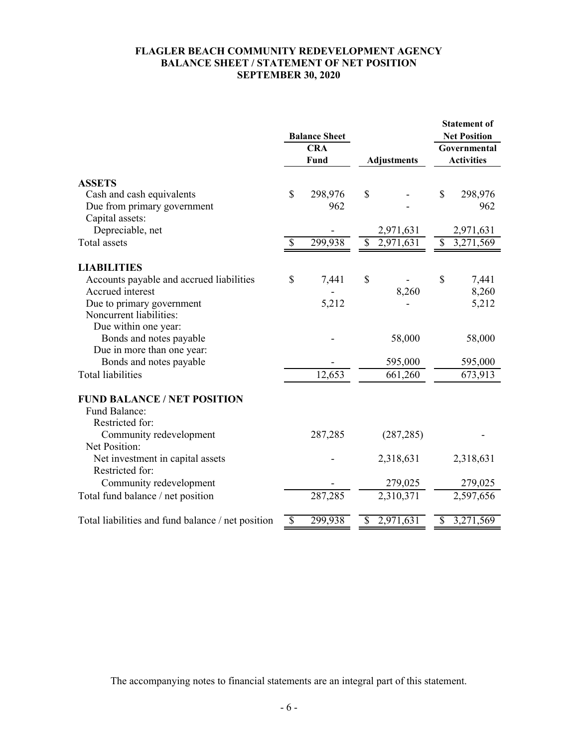## **FLAGLER BEACH COMMUNITY REDEVELOPMENT AGENCY BALANCE SHEET / STATEMENT OF NET POSITION SEPTEMBER 30, 2020**

|                                                   |               |                      |                          |                    |              | <b>Statement of</b> |
|---------------------------------------------------|---------------|----------------------|--------------------------|--------------------|--------------|---------------------|
|                                                   |               | <b>Balance Sheet</b> |                          |                    |              | <b>Net Position</b> |
|                                                   |               | <b>CRA</b>           |                          |                    |              | Governmental        |
|                                                   |               | Fund                 |                          | <b>Adjustments</b> |              | <b>Activities</b>   |
|                                                   |               |                      |                          |                    |              |                     |
| <b>ASSETS</b>                                     |               |                      |                          |                    |              |                     |
| Cash and cash equivalents                         | $\mathbb{S}$  | 298,976              | $\mathbb{S}$             |                    | $\mathbb{S}$ | 298,976             |
| Due from primary government                       |               | 962                  |                          |                    |              | 962                 |
| Capital assets:                                   |               |                      |                          |                    |              |                     |
| Depreciable, net                                  |               |                      |                          | 2,971,631          |              | 2,971,631           |
| <b>Total</b> assets                               | $\mathcal{S}$ | 299,938              | $\overline{\mathcal{S}}$ | 2,971,631          | $\mathbb{S}$ | 3,271,569           |
| <b>LIABILITIES</b>                                |               |                      |                          |                    |              |                     |
| Accounts payable and accrued liabilities          | \$            | 7,441                | \$                       |                    | \$           | 7,441               |
| Accrued interest                                  |               |                      |                          | 8,260              |              | 8,260               |
| Due to primary government                         |               | 5,212                |                          |                    |              | 5,212               |
| Noncurrent liabilities:                           |               |                      |                          |                    |              |                     |
| Due within one year:                              |               |                      |                          |                    |              |                     |
| Bonds and notes payable                           |               |                      |                          | 58,000             |              | 58,000              |
| Due in more than one year:                        |               |                      |                          |                    |              |                     |
| Bonds and notes payable                           |               |                      |                          | 595,000            |              | 595,000             |
| <b>Total liabilities</b>                          |               | 12,653               |                          | 661,260            |              | 673,913             |
| <b>FUND BALANCE / NET POSITION</b>                |               |                      |                          |                    |              |                     |
| Fund Balance:                                     |               |                      |                          |                    |              |                     |
| Restricted for:                                   |               |                      |                          |                    |              |                     |
| Community redevelopment                           |               | 287,285              |                          | (287, 285)         |              |                     |
| Net Position:                                     |               |                      |                          |                    |              |                     |
| Net investment in capital assets                  |               |                      |                          | 2,318,631          |              | 2,318,631           |
| Restricted for:                                   |               |                      |                          |                    |              |                     |
| Community redevelopment                           |               |                      |                          | 279,025            |              | 279,025             |
| Total fund balance / net position                 |               | 287,285              |                          | 2,310,371          |              | 2,597,656           |
|                                                   |               |                      |                          |                    |              |                     |
| Total liabilities and fund balance / net position | \$            | 299,938              | \$                       | 2,971,631          | \$           | 3,271,569           |

The accompanying notes to financial statements are an integral part of this statement.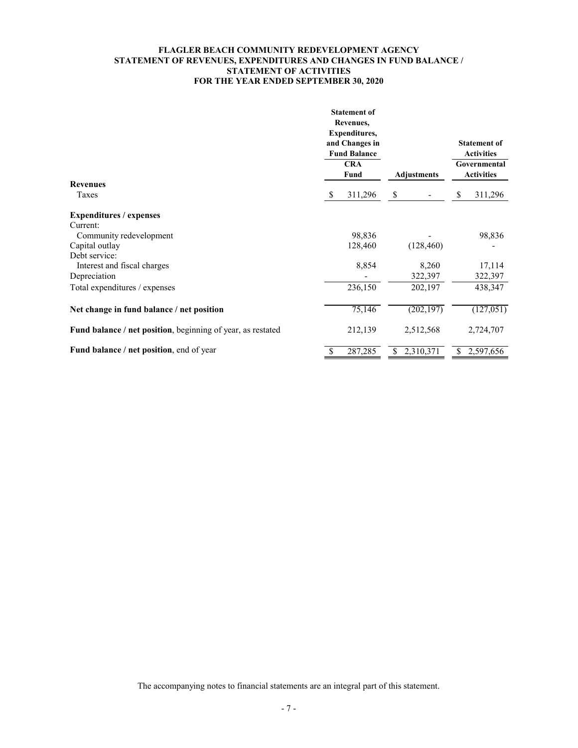#### **FLAGLER BEACH COMMUNITY REDEVELOPMENT AGENCY STATEMENT OF REVENUES, EXPENDITURES AND CHANGES IN FUND BALANCE / STATEMENT OF ACTIVITIES FOR THE YEAR ENDED SEPTEMBER 30, 2020**

|                                                             | <b>Statement of</b><br>Revenues,<br>Expenditures,<br>and Changes in<br><b>Fund Balance</b><br><b>CRA</b> |   |                    | <b>Statement of</b><br><b>Activities</b><br>Governmental |
|-------------------------------------------------------------|----------------------------------------------------------------------------------------------------------|---|--------------------|----------------------------------------------------------|
|                                                             | Fund                                                                                                     |   | <b>Adjustments</b> | <b>Activities</b>                                        |
| <b>Revenues</b>                                             |                                                                                                          |   |                    |                                                          |
| Taxes                                                       | \$<br>311,296                                                                                            | S |                    | \$<br>311,296                                            |
| <b>Expenditures / expenses</b>                              |                                                                                                          |   |                    |                                                          |
| Current:                                                    |                                                                                                          |   |                    |                                                          |
| Community redevelopment                                     | 98,836                                                                                                   |   |                    | 98,836                                                   |
| Capital outlay                                              | 128,460                                                                                                  |   | (128, 460)         |                                                          |
| Debt service:                                               |                                                                                                          |   |                    |                                                          |
| Interest and fiscal charges                                 | 8,854                                                                                                    |   | 8,260              | 17,114                                                   |
| Depreciation                                                |                                                                                                          |   | 322,397            | 322,397                                                  |
| Total expenditures / expenses                               | 236,150                                                                                                  |   | 202,197            | 438,347                                                  |
| Net change in fund balance / net position                   | 75,146                                                                                                   |   | (202, 197)         | (127,051)                                                |
| Fund balance / net position, beginning of year, as restated | 212,139                                                                                                  |   | 2,512,568          | 2,724,707                                                |
| <b>Fund balance / net position, end of year</b>             | 287,285                                                                                                  | S | 2,310,371          | 2,597,656                                                |

The accompanying notes to financial statements are an integral part of this statement.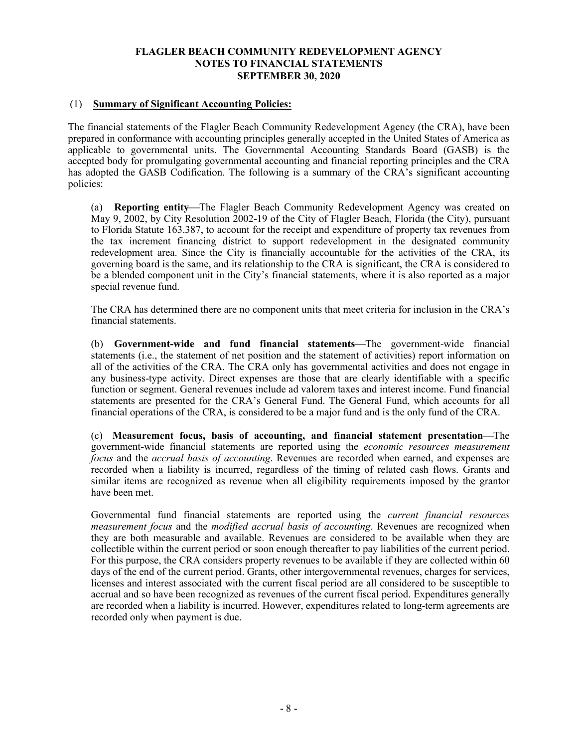## (1) **Summary of Significant Accounting Policies:**

The financial statements of the Flagler Beach Community Redevelopment Agency (the CRA), have been prepared in conformance with accounting principles generally accepted in the United States of America as applicable to governmental units. The Governmental Accounting Standards Board (GASB) is the accepted body for promulgating governmental accounting and financial reporting principles and the CRA has adopted the GASB Codification. The following is a summary of the CRA's significant accounting policies:

(a) **Reporting entity—The Flagler Beach Community Redevelopment Agency was created on** May 9, 2002, by City Resolution 2002-19 of the City of Flagler Beach, Florida (the City), pursuant to Florida Statute 163.387, to account for the receipt and expenditure of property tax revenues from the tax increment financing district to support redevelopment in the designated community redevelopment area. Since the City is financially accountable for the activities of the CRA, its governing board is the same, and its relationship to the CRA is significant, the CRA is considered to be a blended component unit in the City's financial statements, where it is also reported as a major special revenue fund.

The CRA has determined there are no component units that meet criteria for inclusion in the CRA's financial statements.

(b) **Government-wide and fund financial statements**The government-wide financial statements (i.e., the statement of net position and the statement of activities) report information on all of the activities of the CRA. The CRA only has governmental activities and does not engage in any business-type activity. Direct expenses are those that are clearly identifiable with a specific function or segment. General revenues include ad valorem taxes and interest income. Fund financial statements are presented for the CRA's General Fund. The General Fund, which accounts for all financial operations of the CRA, is considered to be a major fund and is the only fund of the CRA.

(c) **Measurement focus, basis of accounting, and financial statement presentation—The** government-wide financial statements are reported using the *economic resources measurement focus* and the *accrual basis of accounting*. Revenues are recorded when earned, and expenses are recorded when a liability is incurred, regardless of the timing of related cash flows. Grants and similar items are recognized as revenue when all eligibility requirements imposed by the grantor have been met.

Governmental fund financial statements are reported using the *current financial resources measurement focus* and the *modified accrual basis of accounting*. Revenues are recognized when they are both measurable and available. Revenues are considered to be available when they are collectible within the current period or soon enough thereafter to pay liabilities of the current period. For this purpose, the CRA considers property revenues to be available if they are collected within 60 days of the end of the current period. Grants, other intergovernmental revenues, charges for services, licenses and interest associated with the current fiscal period are all considered to be susceptible to accrual and so have been recognized as revenues of the current fiscal period. Expenditures generally are recorded when a liability is incurred. However, expenditures related to long-term agreements are recorded only when payment is due.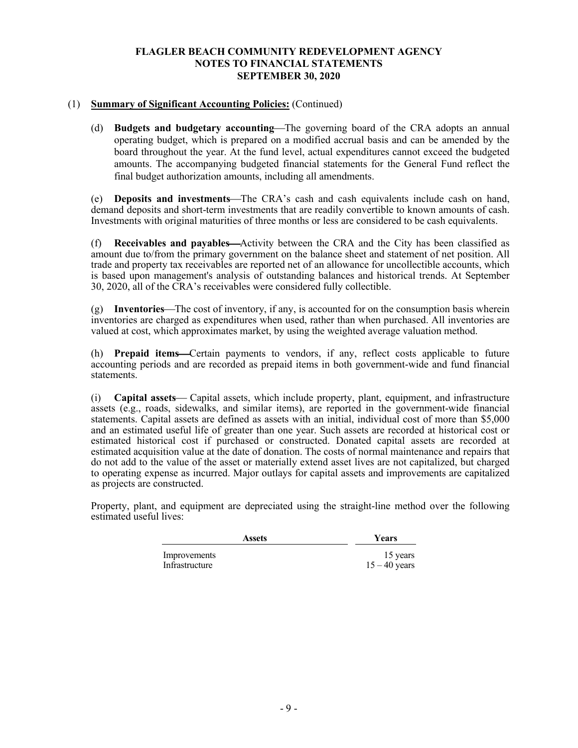## (1) **Summary of Significant Accounting Policies:** (Continued)

(d) **Budgets and budgetary accounting—The governing board of the CRA adopts an annual** operating budget, which is prepared on a modified accrual basis and can be amended by the board throughout the year. At the fund level, actual expenditures cannot exceed the budgeted amounts. The accompanying budgeted financial statements for the General Fund reflect the final budget authorization amounts, including all amendments.

(e) Deposits and investments—The CRA's cash and cash equivalents include cash on hand, demand deposits and short-term investments that are readily convertible to known amounts of cash. Investments with original maturities of three months or less are considered to be cash equivalents.

(f) **Receivables and payables—Activity between the CRA and the City has been classified as** amount due to/from the primary government on the balance sheet and statement of net position. All trade and property tax receivables are reported net of an allowance for uncollectible accounts, which is based upon management's analysis of outstanding balances and historical trends. At September 30, 2020, all of the CRA's receivables were considered fully collectible.

 $(g)$  **Inventories**—The cost of inventory, if any, is accounted for on the consumption basis wherein inventories are charged as expenditures when used, rather than when purchased. All inventories are valued at cost, which approximates market, by using the weighted average valuation method.

(h) **Prepaid items**—Certain payments to vendors, if any, reflect costs applicable to future accounting periods and are recorded as prepaid items in both government-wide and fund financial statements.

(i) **Capital assets** Capital assets, which include property, plant, equipment, and infrastructure assets (e.g., roads, sidewalks, and similar items), are reported in the government-wide financial statements. Capital assets are defined as assets with an initial, individual cost of more than \$5,000 and an estimated useful life of greater than one year. Such assets are recorded at historical cost or estimated historical cost if purchased or constructed. Donated capital assets are recorded at estimated acquisition value at the date of donation. The costs of normal maintenance and repairs that do not add to the value of the asset or materially extend asset lives are not capitalized, but charged to operating expense as incurred. Major outlays for capital assets and improvements are capitalized as projects are constructed.

Property, plant, and equipment are depreciated using the straight-line method over the following estimated useful lives:

|                                | <b>Assets</b> |  | Years                       |
|--------------------------------|---------------|--|-----------------------------|
| Improvements<br>Infrastructure |               |  | 15 years<br>$15 - 40$ years |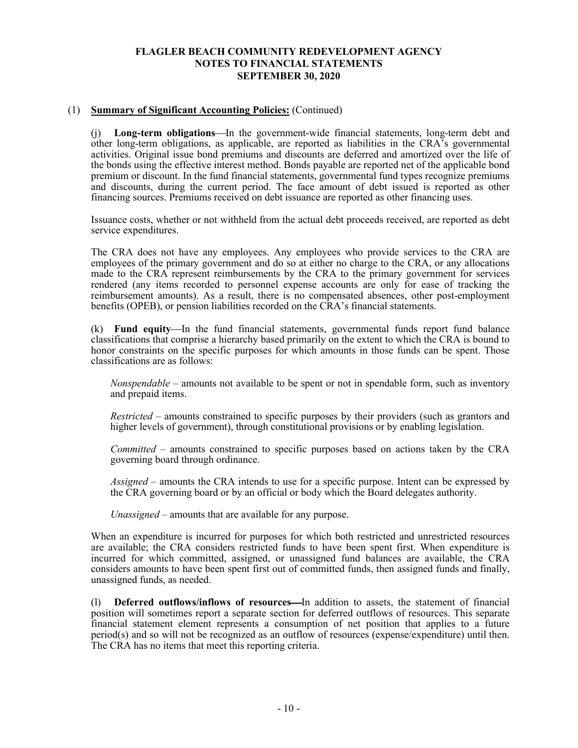## (1) **Summary of Significant Accounting Policies:** (Continued)

(i) **Long-term obligations**—In the government-wide financial statements, long-term debt and other long-term obligations, as applicable, are reported as liabilities in the CRA's governmental activities. Original issue bond premiums and discounts are deferred and amortized over the life of the bonds using the effective interest method. Bonds payable are reported net of the applicable bond premium or discount. In the fund financial statements, governmental fund types recognize premiums and discounts, during the current period. The face amount of debt issued is reported as other financing sources. Premiums received on debt issuance are reported as other financing uses.

Issuance costs, whether or not withheld from the actual debt proceeds received, are reported as debt service expenditures.

The CRA does not have any employees. Any employees who provide services to the CRA are employees of the primary government and do so at either no charge to the CRA, or any allocations made to the CRA represent reimbursements by the CRA to the primary government for services rendered (any items recorded to personnel expense accounts are only for ease of tracking the reimbursement amounts). As a result, there is no compensated absences, other post-employment benefits (OPEB), or pension liabilities recorded on the CRA's financial statements.

(k) **Fund equity—In** the fund financial statements, governmental funds report fund balance classifications that comprise a hierarchy based primarily on the extent to which the CRA is bound to honor constraints on the specific purposes for which amounts in those funds can be spent. Those classifications are as follows:

*Nonspendable* – amounts not available to be spent or not in spendable form, such as inventory and prepaid items.

*Restricted* – amounts constrained to specific purposes by their providers (such as grantors and higher levels of government), through constitutional provisions or by enabling legislation.

*Committed* – amounts constrained to specific purposes based on actions taken by the CRA governing board through ordinance.

*Assigned* – amounts the CRA intends to use for a specific purpose. Intent can be expressed by the CRA governing board or by an official or body which the Board delegates authority.

*Unassigned* – amounts that are available for any purpose.

When an expenditure is incurred for purposes for which both restricted and unrestricted resources are available; the CRA considers restricted funds to have been spent first. When expenditure is incurred for which committed, assigned, or unassigned fund balances are available, the CRA considers amounts to have been spent first out of committed funds, then assigned funds and finally, unassigned funds, as needed.

(1) **Deferred outflows/inflows of resources**—In addition to assets, the statement of financial position will sometimes report a separate section for deferred outflows of resources. This separate financial statement element represents a consumption of net position that applies to a future period(s) and so will not be recognized as an outflow of resources (expense/expenditure) until then. The CRA has no items that meet this reporting criteria.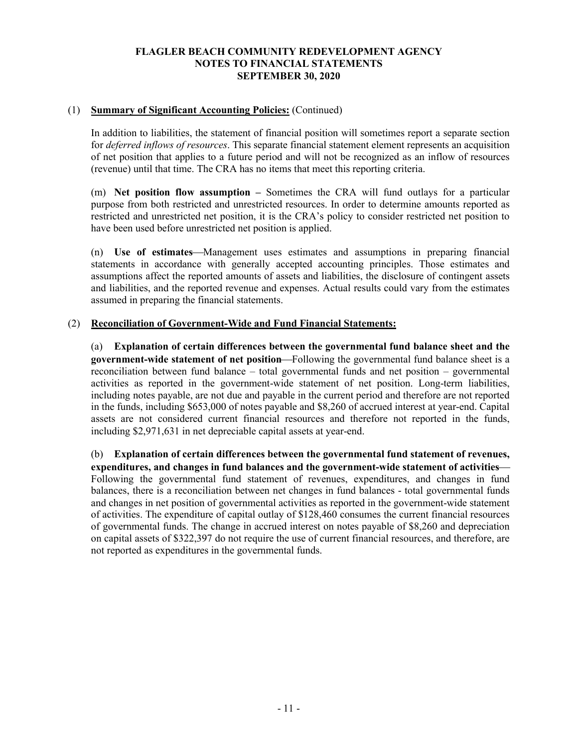## (1) **Summary of Significant Accounting Policies:** (Continued)

In addition to liabilities, the statement of financial position will sometimes report a separate section for *deferred inflows of resources*. This separate financial statement element represents an acquisition of net position that applies to a future period and will not be recognized as an inflow of resources (revenue) until that time. The CRA has no items that meet this reporting criteria.

(m) **Net position flow assumption –** Sometimes the CRA will fund outlays for a particular purpose from both restricted and unrestricted resources. In order to determine amounts reported as restricted and unrestricted net position, it is the CRA's policy to consider restricted net position to have been used before unrestricted net position is applied.

(n) **Use of estimates**Management uses estimates and assumptions in preparing financial statements in accordance with generally accepted accounting principles. Those estimates and assumptions affect the reported amounts of assets and liabilities, the disclosure of contingent assets and liabilities, and the reported revenue and expenses. Actual results could vary from the estimates assumed in preparing the financial statements.

## (2) **Reconciliation of Government-Wide and Fund Financial Statements:**

(a) **Explanation of certain differences between the governmental fund balance sheet and the government-wide statement of net position—Following the governmental fund balance sheet is a** reconciliation between fund balance – total governmental funds and net position – governmental activities as reported in the government-wide statement of net position. Long-term liabilities, including notes payable, are not due and payable in the current period and therefore are not reported in the funds, including \$653,000 of notes payable and \$8,260 of accrued interest at year-end. Capital assets are not considered current financial resources and therefore not reported in the funds, including \$2,971,631 in net depreciable capital assets at year-end.

(b) **Explanation of certain differences between the governmental fund statement of revenues, expenditures, and changes in fund balances and the government-wide statement of activities** Following the governmental fund statement of revenues, expenditures, and changes in fund balances, there is a reconciliation between net changes in fund balances - total governmental funds and changes in net position of governmental activities as reported in the government-wide statement of activities. The expenditure of capital outlay of \$128,460 consumes the current financial resources of governmental funds. The change in accrued interest on notes payable of \$8,260 and depreciation on capital assets of \$322,397 do not require the use of current financial resources, and therefore, are not reported as expenditures in the governmental funds.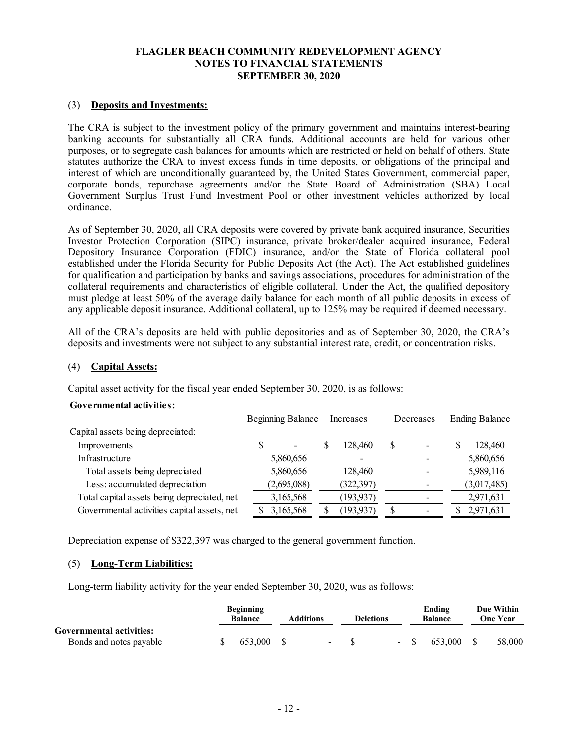### (3) **Deposits and Investments:**

The CRA is subject to the investment policy of the primary government and maintains interest-bearing banking accounts for substantially all CRA funds. Additional accounts are held for various other purposes, or to segregate cash balances for amounts which are restricted or held on behalf of others. State statutes authorize the CRA to invest excess funds in time deposits, or obligations of the principal and interest of which are unconditionally guaranteed by, the United States Government, commercial paper, corporate bonds, repurchase agreements and/or the State Board of Administration (SBA) Local Government Surplus Trust Fund Investment Pool or other investment vehicles authorized by local ordinance.

As of September 30, 2020, all CRA deposits were covered by private bank acquired insurance, Securities Investor Protection Corporation (SIPC) insurance, private broker/dealer acquired insurance, Federal Depository Insurance Corporation (FDIC) insurance, and/or the State of Florida collateral pool established under the Florida Security for Public Deposits Act (the Act). The Act established guidelines for qualification and participation by banks and savings associations, procedures for administration of the collateral requirements and characteristics of eligible collateral. Under the Act, the qualified depository must pledge at least 50% of the average daily balance for each month of all public deposits in excess of any applicable deposit insurance. Additional collateral, up to 125% may be required if deemed necessary.

All of the CRA's deposits are held with public depositories and as of September 30, 2020, the CRA's deposits and investments were not subject to any substantial interest rate, credit, or concentration risks.

### (4) **Capital Assets:**

Capital asset activity for the fiscal year ended September 30, 2020, is as follows:

### **Governmental activities:**

|                                             | Beginning Balance | Increases  |    | Decreases | <b>Ending Balance</b> |
|---------------------------------------------|-------------------|------------|----|-----------|-----------------------|
| Capital assets being depreciated:           |                   |            |    |           |                       |
| Improvements                                | \$                | 128.460    | S  |           | 128,460               |
| Infrastructure                              | 5,860,656         |            |    |           | 5,860,656             |
| Total assets being depreciated              | 5,860,656         | 128,460    |    |           | 5,989,116             |
| Less: accumulated depreciation              | (2,695,088)       | (322, 397) |    |           | (3,017,485)           |
| Total capital assets being depreciated, net | 3,165,568         | (193, 937) |    |           | 2,971,631             |
| Governmental activities capital assets, net | 3,165,568         | (193, 937) | £. |           | 2,971,631             |

Depreciation expense of \$322,397 was charged to the general government function.

## (5) **Long-Term Liabilities:**

Long-term liability activity for the year ended September 30, 2020, was as follows:

|                                                            | <b>Beginning</b><br><b>Balance</b> | Additions |                  | <b>Deletions</b> |      | Ending<br><b>Balance</b> | Due Within<br><b>One Year</b> |
|------------------------------------------------------------|------------------------------------|-----------|------------------|------------------|------|--------------------------|-------------------------------|
| <b>Governmental activities:</b><br>Bonds and notes payable | 653,000 \$                         |           | $\sim$ 100 $\mu$ |                  | $-8$ | 653,000                  | 58,000                        |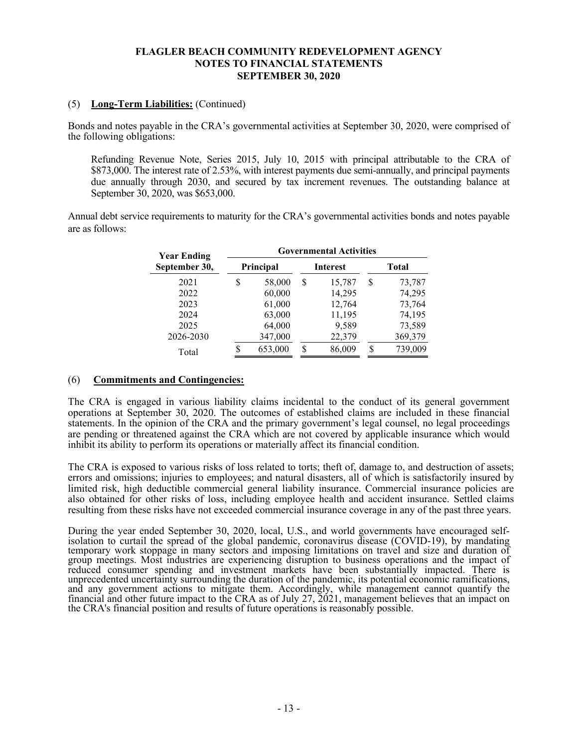## (5) **Long-Term Liabilities:** (Continued)

Bonds and notes payable in the CRA's governmental activities at September 30, 2020, were comprised of the following obligations:

Refunding Revenue Note, Series 2015, July 10, 2015 with principal attributable to the CRA of \$873,000. The interest rate of 2.53%, with interest payments due semi-annually, and principal payments due annually through 2030, and secured by tax increment revenues. The outstanding balance at September 30, 2020, was \$653,000.

Annual debt service requirements to maturity for the CRA's governmental activities bonds and notes payable are as follows:

| <b>Year Ending</b> |   | <b>Governmental Activities</b> |    |          |       |         |  |
|--------------------|---|--------------------------------|----|----------|-------|---------|--|
| September 30,      |   | Principal                      |    | Interest | Total |         |  |
| 2021               | S | 58,000                         | S  | 15,787   | S     | 73,787  |  |
| 2022               |   | 60,000                         |    | 14,295   |       | 74,295  |  |
| 2023               |   | 61,000                         |    | 12,764   |       | 73,764  |  |
| 2024               |   | 63,000                         |    | 11,195   |       | 74,195  |  |
| 2025               |   | 64,000                         |    | 9,589    |       | 73,589  |  |
| 2026-2030          |   | 347,000                        |    | 22,379   |       | 369,379 |  |
| Total              |   | 653,000                        | \$ | 86,009   | \$.   | 739,009 |  |

## (6) **Commitments and Contingencies:**

The CRA is engaged in various liability claims incidental to the conduct of its general government operations at September 30, 2020. The outcomes of established claims are included in these financial statements. In the opinion of the CRA and the primary government's legal counsel, no legal proceedings are pending or threatened against the CRA which are not covered by applicable insurance which would inhibit its ability to perform its operations or materially affect its financial condition.

The CRA is exposed to various risks of loss related to torts; theft of, damage to, and destruction of assets; errors and omissions; injuries to employees; and natural disasters, all of which is satisfactorily insured by limited risk, high deductible commercial general liability insurance. Commercial insurance policies are also obtained for other risks of loss, including employee health and accident insurance. Settled claims resulting from these risks have not exceeded commercial insurance coverage in any of the past three years.

During the year ended September 30, 2020, local, U.S., and world governments have encouraged selfisolation to curtail the spread of the global pandemic, coronavirus disease (COVID-19), by mandating temporary work stoppage in many sectors and imposing limitations on travel and size and duration of group meetings. Most industries are experiencing disruption to business operations and the impact of reduced consumer spending and investment markets have been substantially impacted. There is unprecedented uncertainty surrounding the duration of the pandemic, its potential economic ramifications, and any government actions to mitigate them. Accordingly, while management cannot quantify the financial and other future impact to the CRA as of July 27, 2021, management believes that an impact on the CRA's financial position and results of future operations is reasonably possible.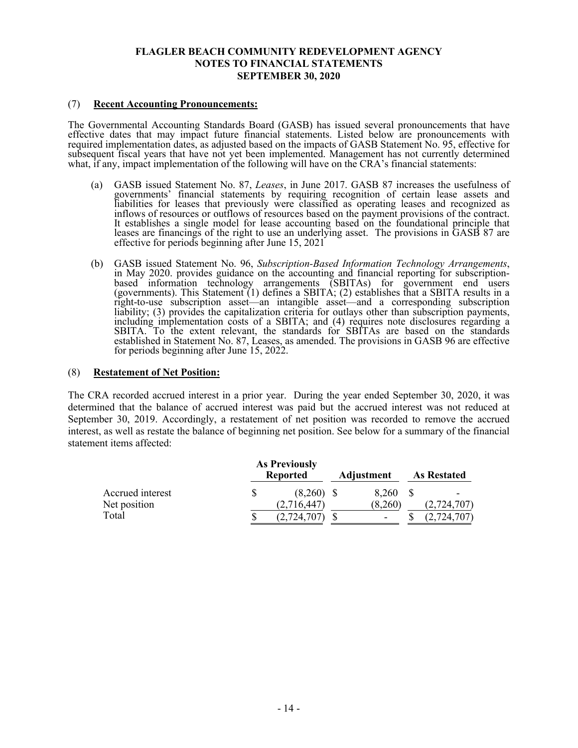### (7) **Recent Accounting Pronouncements:**

The Governmental Accounting Standards Board (GASB) has issued several pronouncements that have effective dates that may impact future financial statements. Listed below are pronouncements with required implementation dates, as adjusted based on the impacts of GASB Statement No. 95, effective for subsequent fiscal years that have not yet been implemented. Management has not currently determined what, if any, impact implementation of the following will have on the CRA's financial statements:

- (a) GASB issued Statement No. 87, *Leases*, in June 2017. GASB 87 increases the usefulness of governments' financial statements by requiring recognition of certain lease assets and liabilities for leases that previously were classified as operating leases and recognized as inflows of resources or outflows of resources based on the payment provisions of the contract. It establishes a single model for lease accounting based on the foundational principle that leases are financings of the right to use an underlying asset. The provisions in GASB 87 are effective for periods beginning after June 15, 2021
- (b) GASB issued Statement No. 96, *Subscription-Based Information Technology Arrangements*, in May 2020. provides guidance on the accounting and financial reporting for subscriptionbased information technology arrangements (SBITAs) for government end users (governments). This Statement (1) defines a SBITA; (2) establishes that a SBITA results in a right-to-use subscription asset—an intangible asset—and a corresponding subscription liability; (3) provides the capitalization criteria for outlays other than subscription payments, including implementation costs of a SBITA; and (4) requires note disclosures regarding a SBITA. To the extent relevant, the standards for SBITAs are based on the standards established in Statement No. 87, Leases, as amended. The provisions in GASB 96 are effective for periods beginning after June 15, 2022.

### (8) **Restatement of Net Position:**

The CRA recorded accrued interest in a prior year. During the year ended September 30, 2020, it was determined that the balance of accrued interest was paid but the accrued interest was not reduced at September 30, 2019. Accordingly, a restatement of net position was recorded to remove the accrued interest, as well as restate the balance of beginning net position. See below for a summary of the financial statement items affected:

|                                  | <b>As Previously</b><br><b>Reported</b> | Adjustment       | <b>As Restated</b> |
|----------------------------------|-----------------------------------------|------------------|--------------------|
| Accrued interest<br>Net position | $(8.260)$ \$<br>(2,716,447)             | 8.260<br>(8,260) | (2.724.707)        |
| Total                            | $(2,724,707)$ \$                        |                  | (2,724,707)        |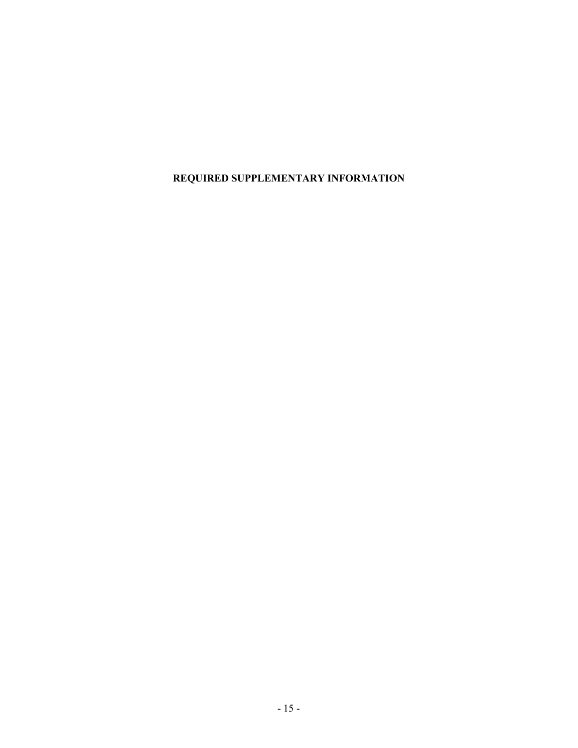**REQUIRED SUPPLEMENTARY INFORMATION**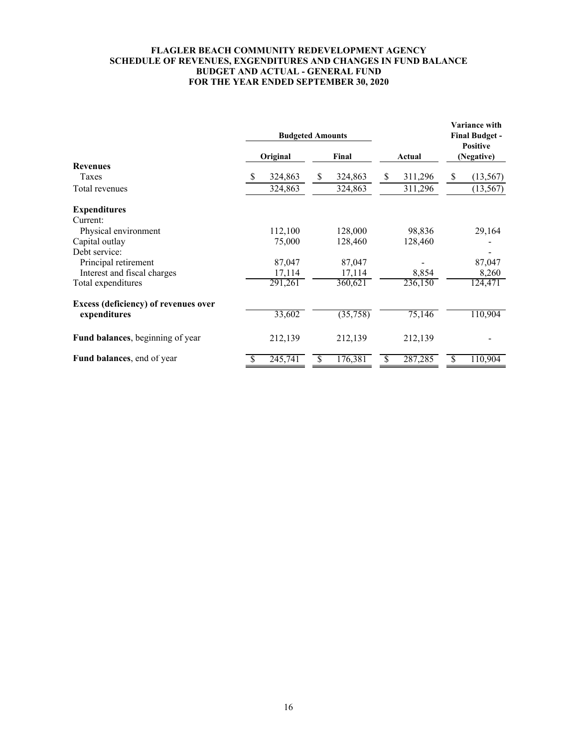#### **FLAGLER BEACH COMMUNITY REDEVELOPMENT AGENCY SCHEDULE OF REVENUES, EXGENDITURES AND CHANGES IN FUND BALANCE BUDGET AND ACTUAL - GENERAL FUND FOR THE YEAR ENDED SEPTEMBER 30, 2020**

| <b>Budgeted Amounts</b>              |               |          |     |           |    |         | <b>Variance with</b><br><b>Final Budget -</b><br><b>Positive</b> |            |  |
|--------------------------------------|---------------|----------|-----|-----------|----|---------|------------------------------------------------------------------|------------|--|
|                                      |               | Original |     | Final     |    | Actual  |                                                                  | (Negative) |  |
| <b>Revenues</b>                      |               |          |     |           |    |         |                                                                  |            |  |
| Taxes                                | <sup>\$</sup> | 324,863  | \$  | 324,863   | \$ | 311,296 | \$                                                               | (13, 567)  |  |
| Total revenues                       |               | 324,863  |     | 324,863   |    | 311,296 |                                                                  | (13, 567)  |  |
| <b>Expenditures</b>                  |               |          |     |           |    |         |                                                                  |            |  |
| Current:                             |               |          |     |           |    |         |                                                                  |            |  |
| Physical environment                 |               | 112,100  |     | 128,000   |    | 98,836  |                                                                  | 29,164     |  |
| Capital outlay                       |               | 75,000   |     | 128,460   |    | 128,460 |                                                                  |            |  |
| Debt service:                        |               |          |     |           |    |         |                                                                  |            |  |
| Principal retirement                 |               | 87,047   |     | 87,047    |    |         |                                                                  | 87,047     |  |
| Interest and fiscal charges          |               | 17,114   |     | 17,114    |    | 8,854   |                                                                  | 8,260      |  |
| Total expenditures                   |               | 291,261  |     | 360,621   |    | 236,150 |                                                                  | 124,471    |  |
| Excess (deficiency) of revenues over |               |          |     |           |    |         |                                                                  |            |  |
| expenditures                         |               | 33,602   |     | (35, 758) |    | 75,146  |                                                                  | 110,904    |  |
| Fund balances, beginning of year     |               | 212,139  |     | 212,139   |    | 212,139 |                                                                  |            |  |
| Fund balances, end of year           |               | 245,741  | \$. | 176,381   | S  | 287,285 | S                                                                | 110,904    |  |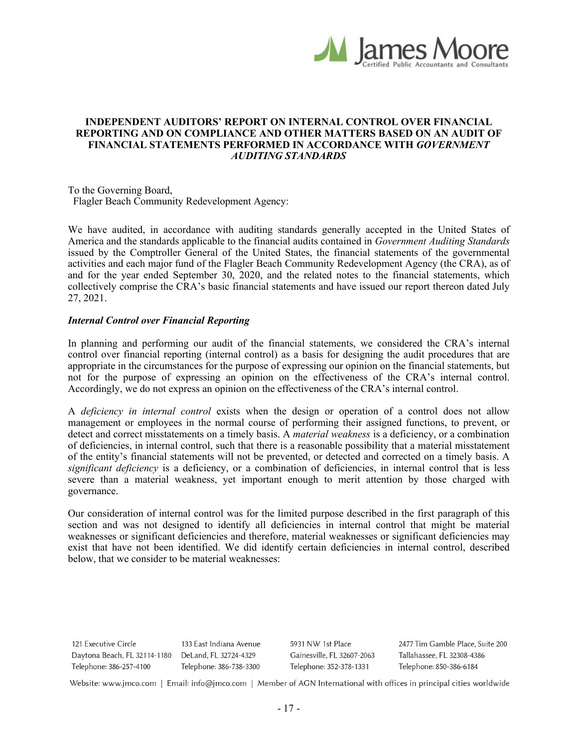

### **INDEPENDENT AUDITORS' REPORT ON INTERNAL CONTROL OVER FINANCIAL REPORTING AND ON COMPLIANCE AND OTHER MATTERS BASED ON AN AUDIT OF FINANCIAL STATEMENTS PERFORMED IN ACCORDANCE WITH** *GOVERNMENT AUDITING STANDARDS*

To the Governing Board, Flagler Beach Community Redevelopment Agency:

We have audited, in accordance with auditing standards generally accepted in the United States of America and the standards applicable to the financial audits contained in *Government Auditing Standards* issued by the Comptroller General of the United States, the financial statements of the governmental activities and each major fund of the Flagler Beach Community Redevelopment Agency (the CRA), as of and for the year ended September 30, 2020, and the related notes to the financial statements, which collectively comprise the CRA's basic financial statements and have issued our report thereon dated July 27, 2021.

### *Internal Control over Financial Reporting*

In planning and performing our audit of the financial statements, we considered the CRA's internal control over financial reporting (internal control) as a basis for designing the audit procedures that are appropriate in the circumstances for the purpose of expressing our opinion on the financial statements, but not for the purpose of expressing an opinion on the effectiveness of the CRA's internal control. Accordingly, we do not express an opinion on the effectiveness of the CRA's internal control.

A *deficiency in internal control* exists when the design or operation of a control does not allow management or employees in the normal course of performing their assigned functions, to prevent, or detect and correct misstatements on a timely basis. A *material weakness* is a deficiency, or a combination of deficiencies, in internal control, such that there is a reasonable possibility that a material misstatement of the entity's financial statements will not be prevented, or detected and corrected on a timely basis. A *significant deficiency* is a deficiency, or a combination of deficiencies, in internal control that is less severe than a material weakness, yet important enough to merit attention by those charged with governance.

Our consideration of internal control was for the limited purpose described in the first paragraph of this section and was not designed to identify all deficiencies in internal control that might be material weaknesses or significant deficiencies and therefore, material weaknesses or significant deficiencies may exist that have not been identified. We did identify certain deficiencies in internal control, described below, that we consider to be material weaknesses:

121 Executive Circle 133 East Indiana Avenue Daytona Beach, FL 32114-1180 DeLand, FL 32724-4329 Telephone: 386-257-4100 Telephone: 386-738-3300

5931 NW 1st Place Gainesville, FL 32607-2063 Telephone: 352-378-1331

2477 Tim Gamble Place, Suite 200 Tallahassee, FL 32308-4386 Telephone: 850-386-6184

Website: www.jmco.com | Email: info@jmco.com | Member of AGN International with offices in principal cities worldwide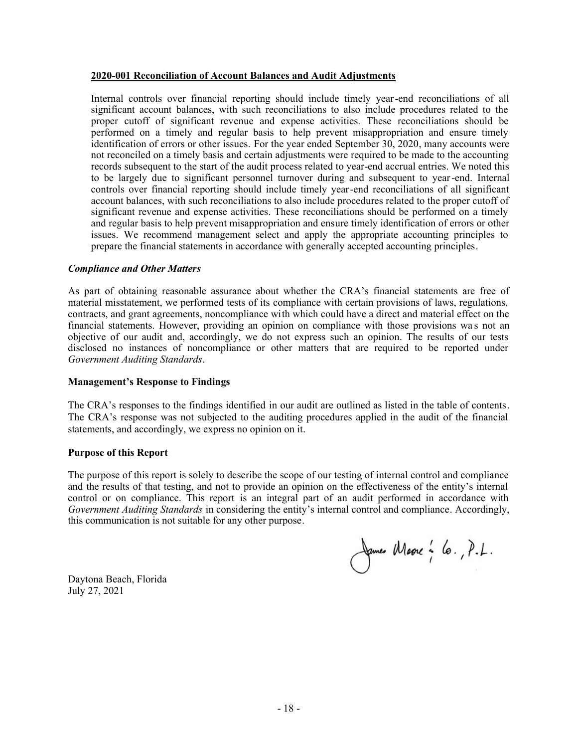## **2020-001 Reconciliation of Account Balances and Audit Adjustments**

Internal controls over financial reporting should include timely year-end reconciliations of all significant account balances, with such reconciliations to also include procedures related to the proper cutoff of significant revenue and expense activities. These reconciliations should be performed on a timely and regular basis to help prevent misappropriation and ensure timely identification of errors or other issues. For the year ended September 30, 2020, many accounts were not reconciled on a timely basis and certain adjustments were required to be made to the accounting records subsequent to the start of the audit process related to year-end accrual entries. We noted this to be largely due to significant personnel turnover during and subsequent to year-end. Internal controls over financial reporting should include timely year-end reconciliations of all significant account balances, with such reconciliations to also include procedures related to the proper cutoff of significant revenue and expense activities. These reconciliations should be performed on a timely and regular basis to help prevent misappropriation and ensure timely identification of errors or other issues. We recommend management select and apply the appropriate accounting principles to prepare the financial statements in accordance with generally accepted accounting principles.

### *Compliance and Other Matters*

As part of obtaining reasonable assurance about whether the CRA's financial statements are free of material misstatement, we performed tests of its compliance with certain provisions of laws, regulations, contracts, and grant agreements, noncompliance with which could have a direct and material effect on the financial statements. However, providing an opinion on compliance with those provisions wa s not an objective of our audit and, accordingly, we do not express such an opinion. The results of our tests disclosed no instances of noncompliance or other matters that are required to be reported under *Government Auditing Standards*.

## **Management's Response to Findings**

The CRA's responses to the findings identified in our audit are outlined as listed in the table of contents. The CRA's response was not subjected to the auditing procedures applied in the audit of the financial statements, and accordingly, we express no opinion on it.

### **Purpose of this Report**

The purpose of this report is solely to describe the scope of our testing of internal control and compliance and the results of that testing, and not to provide an opinion on the effectiveness of the entity's internal control or on compliance. This report is an integral part of an audit performed in accordance with *Government Auditing Standards* in considering the entity's internal control and compliance. Accordingly, this communication is not suitable for any other purpose.

James Masse : lo., P.L.

Daytona Beach, Florida July 27, 2021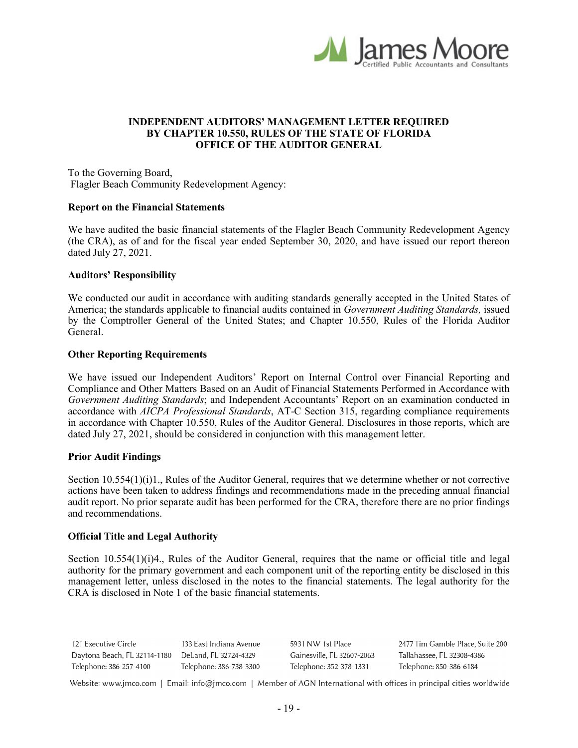

### **INDEPENDENT AUDITORS' MANAGEMENT LETTER REQUIRED BY CHAPTER 10.550, RULES OF THE STATE OF FLORIDA OFFICE OF THE AUDITOR GENERAL**

To the Governing Board, Flagler Beach Community Redevelopment Agency:

#### **Report on the Financial Statements**

We have audited the basic financial statements of the Flagler Beach Community Redevelopment Agency (the CRA), as of and for the fiscal year ended September 30, 2020, and have issued our report thereon dated July 27, 2021.

### **Auditors' Responsibility**

We conducted our audit in accordance with auditing standards generally accepted in the United States of America; the standards applicable to financial audits contained in *Government Auditing Standards,* issued by the Comptroller General of the United States; and Chapter 10.550, Rules of the Florida Auditor General.

### **Other Reporting Requirements**

We have issued our Independent Auditors' Report on Internal Control over Financial Reporting and Compliance and Other Matters Based on an Audit of Financial Statements Performed in Accordance with *Government Auditing Standards*; and Independent Accountants' Report on an examination conducted in accordance with *AICPA Professional Standards*, AT-C Section 315, regarding compliance requirements in accordance with Chapter 10.550, Rules of the Auditor General. Disclosures in those reports, which are dated July 27, 2021, should be considered in conjunction with this management letter.

### **Prior Audit Findings**

Section 10.554(1)(i)1., Rules of the Auditor General, requires that we determine whether or not corrective actions have been taken to address findings and recommendations made in the preceding annual financial audit report. No prior separate audit has been performed for the CRA, therefore there are no prior findings and recommendations.

### **Official Title and Legal Authority**

Section 10.554(1)(i)4., Rules of the Auditor General, requires that the name or official title and legal authority for the primary government and each component unit of the reporting entity be disclosed in this management letter, unless disclosed in the notes to the financial statements. The legal authority for the CRA is disclosed in Note 1 of the basic financial statements.

| 121 Executive Circle         | 133 East Indiana Avenue | 5931 NW 1st Place          | 2477 Tim Gamble Place, Suite 200 |
|------------------------------|-------------------------|----------------------------|----------------------------------|
| Daytona Beach, FL 32114-1180 | DeLand, FL 32724-4329   | Gainesville, FL 32607-2063 | Tallahassee, FL 32308-4386       |
| Telephone: 386-257-4100      | Telephone: 386-738-3300 | Telephone: 352-378-1331    | Telephone: 850-386-6184          |

Website: www.jmco.com | Email: info@jmco.com | Member of AGN International with offices in principal cities worldwide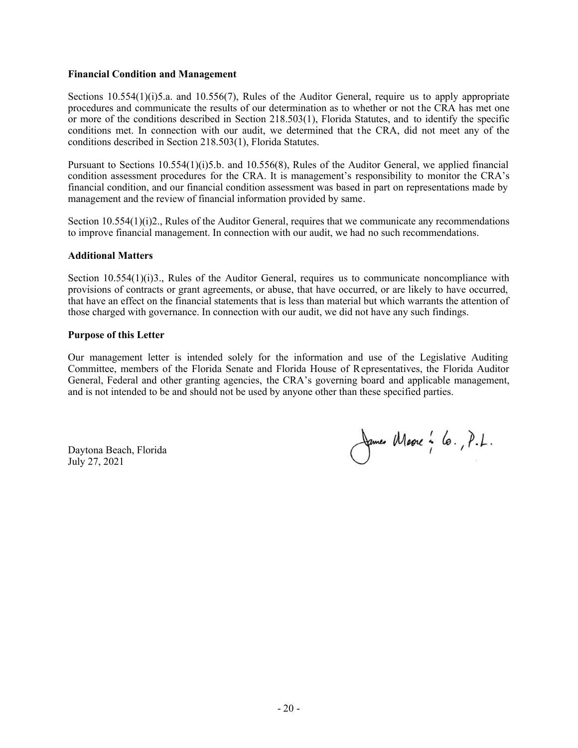### **Financial Condition and Management**

Sections 10.554(1)(i)5.a. and 10.556(7), Rules of the Auditor General, require us to apply appropriate procedures and communicate the results of our determination as to whether or not the CRA has met one or more of the conditions described in Section 218.503(1), Florida Statutes, and to identify the specific conditions met. In connection with our audit, we determined that the CRA, did not meet any of the conditions described in Section 218.503(1), Florida Statutes.

Pursuant to Sections 10.554(1)(i)5.b. and 10.556(8), Rules of the Auditor General, we applied financial condition assessment procedures for the CRA. It is management's responsibility to monitor the CRA's financial condition, and our financial condition assessment was based in part on representations made by management and the review of financial information provided by same.

Section  $10.554(1)(i)2$ . Rules of the Auditor General, requires that we communicate any recommendations to improve financial management. In connection with our audit, we had no such recommendations.

### **Additional Matters**

Section 10.554(1)(i)3., Rules of the Auditor General, requires us to communicate noncompliance with provisions of contracts or grant agreements, or abuse, that have occurred, or are likely to have occurred, that have an effect on the financial statements that is less than material but which warrants the attention of those charged with governance. In connection with our audit, we did not have any such findings.

### **Purpose of this Letter**

Our management letter is intended solely for the information and use of the Legislative Auditing Committee, members of the Florida Senate and Florida House of Representatives, the Florida Auditor General, Federal and other granting agencies, the CRA's governing board and applicable management, and is not intended to be and should not be used by anyone other than these specified parties.

Daytona Beach, Florida July 27, 2021

James Masse : lo., P.L.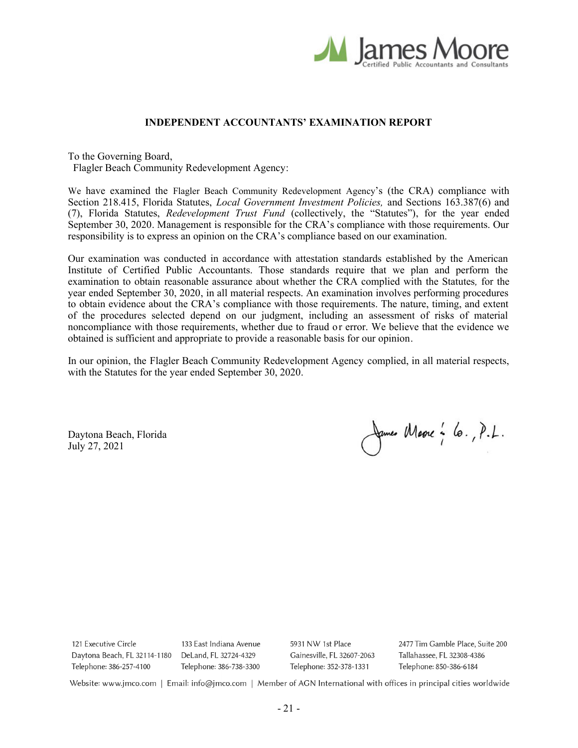

## **INDEPENDENT ACCOUNTANTS' EXAMINATION REPORT**

To the Governing Board, Flagler Beach Community Redevelopment Agency:

We have examined the Flagler Beach Community Redevelopment Agency's (the CRA) compliance with Section 218.415, Florida Statutes, *Local Government Investment Policies,* and Sections 163.387(6) and (7), Florida Statutes, *Redevelopment Trust Fund* (collectively, the "Statutes"), for the year ended September 30, 2020. Management is responsible for the CRA's compliance with those requirements. Our responsibility is to express an opinion on the CRA's compliance based on our examination.

Our examination was conducted in accordance with attestation standards established by the American Institute of Certified Public Accountants. Those standards require that we plan and perform the examination to obtain reasonable assurance about whether the CRA complied with the Statutes*,* for the year ended September 30, 2020, in all material respects. An examination involves performing procedures to obtain evidence about the CRA's compliance with those requirements. The nature, timing, and extent of the procedures selected depend on our judgment, including an assessment of risks of material noncompliance with those requirements, whether due to fraud or error. We believe that the evidence we obtained is sufficient and appropriate to provide a reasonable basis for our opinion.

In our opinion, the Flagler Beach Community Redevelopment Agency complied, in all material respects, with the Statutes for the year ended September 30, 2020.

Daytona Beach, Florida July 27, 2021

James Marrie 4 6., P.L.

121 Executive Circle Daytona Beach, FL 32114-1180 Telephone: 386-257-4100

133 East Indiana Avenue DeLand, FL 32724-4329 Telephone: 386-738-3300

5931 NW 1st Place Gainesville, FL 32607-2063 Telephone: 352-378-1331

2477 Tim Gamble Place, Suite 200 Tallahassee, FL 32308-4386 Telephone: 850-386-6184

Website: www.jmco.com | Email: info@jmco.com | Member of AGN International with offices in principal cities worldwide